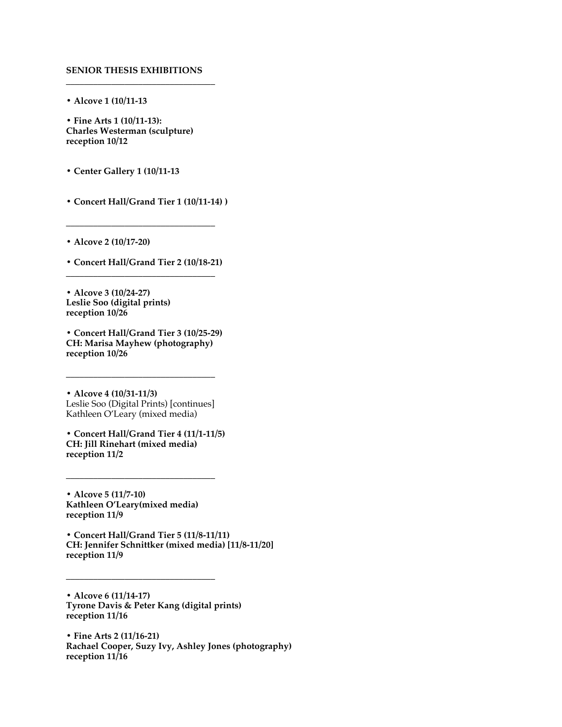## **SENIOR THESIS EXHIBITIONS \_\_\_\_\_\_\_\_\_\_\_\_\_\_\_\_\_\_\_\_\_\_\_\_\_\_\_\_\_\_\_\_\_**

**• Alcove 1 (10/11-13**

**• Fine Arts 1 (10/11-13): Charles Westerman (sculpture) reception 10/12**

**• Center Gallery 1 (10/11-13**

**• Concert Hall/Grand Tier 1 (10/11-14) )**

**\_\_\_\_\_\_\_\_\_\_\_\_\_\_\_\_\_\_\_\_\_\_\_\_\_\_\_\_\_\_\_\_\_**

**• Alcove 2 (10/17-20)**

**• Concert Hall/Grand Tier 2 (10/18-21) \_\_\_\_\_\_\_\_\_\_\_\_\_\_\_\_\_\_\_\_\_\_\_\_\_\_\_\_\_\_\_\_\_**

**• Alcove 3 (10/24-27) Leslie Soo (digital prints) reception 10/26**

**• Concert Hall/Grand Tier 3 (10/25-29) CH: Marisa Mayhew (photography) reception 10/26**

**• Alcove 4 (10/31-11/3)** Leslie Soo (Digital Prints) [continues] Kathleen O'Leary (mixed media)

**\_\_\_\_\_\_\_\_\_\_\_\_\_\_\_\_\_\_\_\_\_\_\_\_\_\_\_\_\_\_\_\_\_**

**• Concert Hall/Grand Tier 4 (11/1-11/5) CH: Jill Rinehart (mixed media) reception 11/2**

**\_\_\_\_\_\_\_\_\_\_\_\_\_\_\_\_\_\_\_\_\_\_\_\_\_\_\_\_\_\_\_\_\_**

**• Alcove 5 (11/7-10) Kathleen O'Leary(mixed media) reception 11/9**

**• Concert Hall/Grand Tier 5 (11/8-11/11) CH: Jennifer Schnittker (mixed media) [11/8-11/20] reception 11/9**

**• Alcove 6 (11/14-17) Tyrone Davis & Peter Kang (digital prints) reception 11/16**

**\_\_\_\_\_\_\_\_\_\_\_\_\_\_\_\_\_\_\_\_\_\_\_\_\_\_\_\_\_\_\_\_\_**

**• Fine Arts 2 (11/16-21) Rachael Cooper, Suzy Ivy, Ashley Jones (photography) reception 11/16**